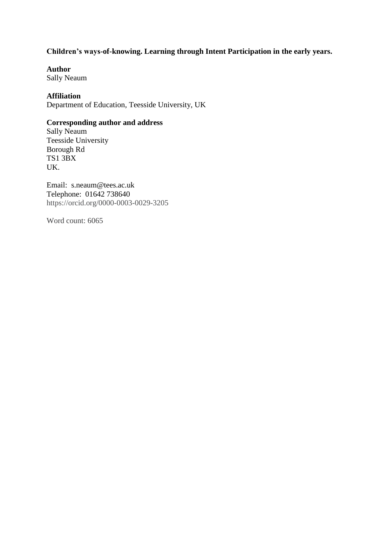# **Children's ways-of-knowing. Learning through Intent Participation in the early years.**

**Author**  Sally Neaum

## **Affiliation**

Department of Education, Teesside University, UK

# **Corresponding author and address**

Sally Neaum Teesside University Borough Rd TS1 3BX UK.

Email: [s.neaum@tees.ac.uk](mailto:s.neaum@tees.ac.uk)  Telephone: 01642 738640 <https://orcid.org/0000-0003-0029-3205>

Word count: 6065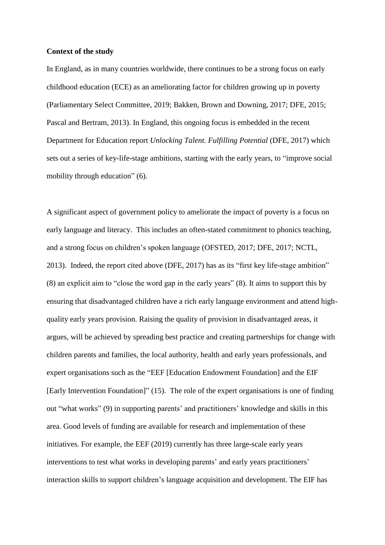#### **Context of the study**

In England, as in many countries worldwide, there continues to be a strong focus on early childhood education (ECE) as an ameliorating factor for children growing up in poverty (Parliamentary Select Committee, 2019; Bakken, Brown and Downing, 2017; DFE, 2015; Pascal and Bertram, 2013). In England, this ongoing focus is embedded in the recent Department for Education report *Unlocking Talent. Fulfilling Potential* (DFE, 2017) which sets out a series of key-life-stage ambitions, starting with the early years, to "improve social mobility through education" (6).

 (8) an explicit aim to "close the word gap in the early years" (8). It aims to support this by [Early Intervention Foundation]" (15). The role of the expert organisations is one of finding A significant aspect of government policy to ameliorate the impact of poverty is a focus on early language and literacy. This includes an often-stated commitment to phonics teaching, and a strong focus on children's spoken language (OFSTED, 2017; DFE, 2017; NCTL, 2013). Indeed, the report cited above (DFE, 2017) has as its "first key life-stage ambition" ensuring that disadvantaged children have a rich early language environment and attend highquality early years provision. Raising the quality of provision in disadvantaged areas, it argues, will be achieved by spreading best practice and creating partnerships for change with children parents and families, the local authority, health and early years professionals, and expert organisations such as the "EEF [Education Endowment Foundation] and the EIF out "what works" (9) in supporting parents' and practitioners' knowledge and skills in this area. Good levels of funding are available for research and implementation of these initiatives. For example, the EEF (2019) currently has three large-scale early years interventions to test what works in developing parents' and early years practitioners' interaction skills to support children's language acquisition and development. The EIF has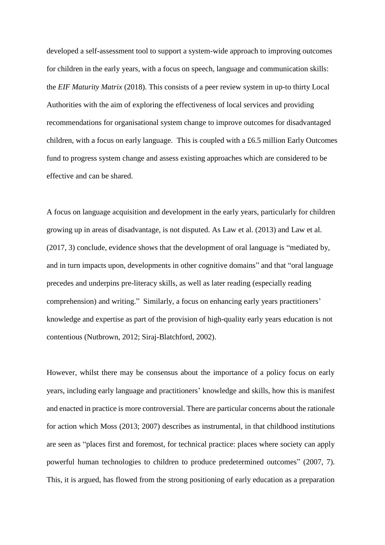for children in the early years, with a focus on speech, language and communication skills: children, with a focus on early language. This is coupled with a £6.5 million Early Outcomes developed a self-assessment tool to support a system-wide approach to improving outcomes the *EIF Maturity Matrix* (2018). This consists of a peer review system in up-to thirty Local Authorities with the aim of exploring the effectiveness of local services and providing recommendations for organisational system change to improve outcomes for disadvantaged fund to progress system change and assess existing approaches which are considered to be effective and can be shared.

 comprehension) and writing." Similarly, a focus on enhancing early years practitioners' knowledge and expertise as part of the provision of high-quality early years education is not A focus on language acquisition and development in the early years, particularly for children growing up in areas of disadvantage, is not disputed. As Law et al. (2013) and Law et al. (2017, 3) conclude, evidence shows that the development of oral language is "mediated by, and in turn impacts upon, developments in other cognitive domains" and that "oral language precedes and underpins pre-literacy skills, as well as later reading (especially reading contentious (Nutbrown, 2012; Siraj-Blatchford, 2002).

 However, whilst there may be consensus about the importance of a policy focus on early years, including early language and practitioners' knowledge and skills, how this is manifest and enacted in practice is more controversial. There are particular concerns about the rationale are seen as "places first and foremost, for technical practice: places where society can apply This, it is argued, has flowed from the strong positioning of early education as a preparation for action which Moss (2013; 2007) describes as instrumental, in that childhood institutions powerful human technologies to children to produce predetermined outcomes" (2007, 7).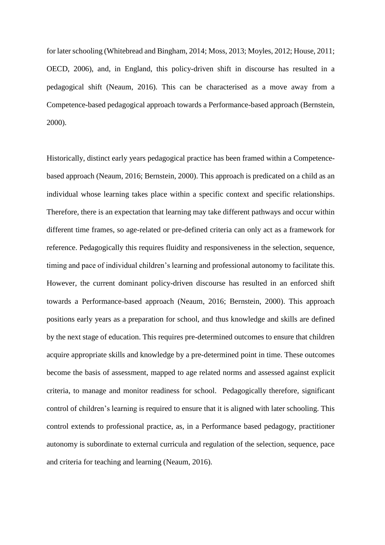for later schooling (Whitebread and Bingham, 2014; Moss, 2013; Moyles, 2012; House, 2011; OECD, 2006), and, in England, this policy-driven shift in discourse has resulted in a pedagogical shift (Neaum, 2016). This can be characterised as a move away from a Competence-based pedagogical approach towards a Performance-based approach (Bernstein, 2000).

 based approach (Neaum, 2016; Bernstein, 2000). This approach is predicated on a child as an individual whose learning takes place within a specific context and specific relationships. Therefore, there is an expectation that learning may take different pathways and occur within different time frames, so age-related or pre-defined criteria can only act as a framework for timing and pace of individual children's learning and professional autonomy to facilitate this. positions early years as a preparation for school, and thus knowledge and skills are defined by the next stage of education. This requires pre-determined outcomes to ensure that children become the basis of assessment, mapped to age related norms and assessed against explicit Historically, distinct early years pedagogical practice has been framed within a Competencereference. Pedagogically this requires fluidity and responsiveness in the selection, sequence, However, the current dominant policy-driven discourse has resulted in an enforced shift towards a Performance-based approach (Neaum, 2016; Bernstein, 2000). This approach acquire appropriate skills and knowledge by a pre-determined point in time. These outcomes criteria, to manage and monitor readiness for school. Pedagogically therefore, significant control of children's learning is required to ensure that it is aligned with later schooling. This control extends to professional practice, as, in a Performance based pedagogy, practitioner autonomy is subordinate to external curricula and regulation of the selection, sequence, pace and criteria for teaching and learning (Neaum, 2016).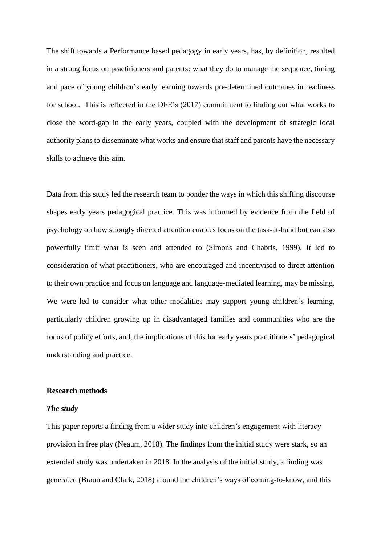and pace of young children's early learning towards pre-determined outcomes in readiness close the word-gap in the early years, coupled with the development of strategic local authority plans to disseminate what works and ensure that staff and parents have the necessary The shift towards a Performance based pedagogy in early years, has, by definition, resulted in a strong focus on practitioners and parents: what they do to manage the sequence, timing for school. This is reflected in the DFE's (2017) commitment to finding out what works to skills to achieve this aim.

 Data from this study led the research team to ponder the ways in which this shifting discourse psychology on how strongly directed attention enables focus on the task-at-hand but can also to their own practice and focus on language and language-mediated learning, may be missing. particularly children growing up in disadvantaged families and communities who are the understanding and practice. shapes early years pedagogical practice. This was informed by evidence from the field of powerfully limit what is seen and attended to (Simons and Chabris, 1999). It led to consideration of what practitioners, who are encouraged and incentivised to direct attention We were led to consider what other modalities may support young children's learning, focus of policy efforts, and, the implications of this for early years practitioners' pedagogical

#### **Research methods**

### *The study*

This paper reports a finding from a wider study into children's engagement with literacy provision in free play (Neaum, 2018). The findings from the initial study were stark, so an extended study was undertaken in 2018. In the analysis of the initial study, a finding was generated (Braun and Clark, 2018) around the children's ways of coming-to-know, and this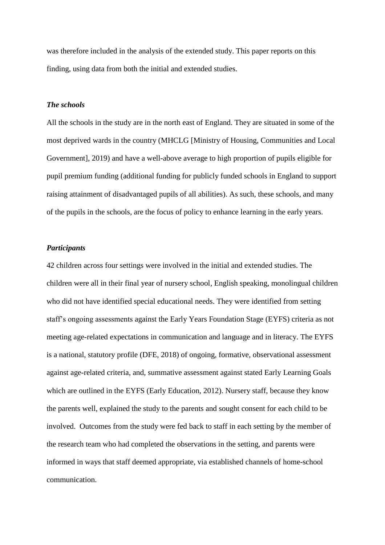was therefore included in the analysis of the extended study. This paper reports on this finding, using data from both the initial and extended studies.

### *The schools*

All the schools in the study are in the north east of England. They are situated in some of the most deprived wards in the country (MHCLG [Ministry of Housing, Communities and Local Government], 2019) and have a well-above average to high proportion of pupils eligible for pupil premium funding (additional funding for publicly funded schools in England to support raising attainment of disadvantaged pupils of all abilities). As such, these schools, and many of the pupils in the schools, are the focus of policy to enhance learning in the early years.

### *Participants*

42 children across four settings were involved in the initial and extended studies. The children were all in their final year of nursery school, English speaking, monolingual children who did not have identified special educational needs. They were identified from setting staff's ongoing assessments against the Early Years Foundation Stage (EYFS) criteria as not meeting age-related expectations in communication and language and in literacy. The EYFS is a national, statutory profile (DFE, 2018) of ongoing, formative, observational assessment against age-related criteria, and, summative assessment against stated Early Learning Goals which are outlined in the EYFS (Early Education, 2012). Nursery staff, because they know the parents well, explained the study to the parents and sought consent for each child to be involved. Outcomes from the study were fed back to staff in each setting by the member of the research team who had completed the observations in the setting, and parents were informed in ways that staff deemed appropriate, via established channels of home-school communication.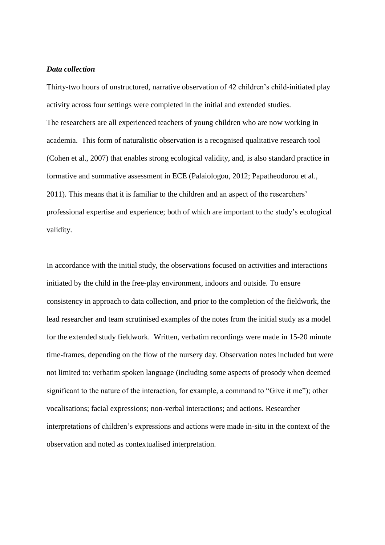### *Data collection*

Thirty-two hours of unstructured, narrative observation of 42 children's child-initiated play activity across four settings were completed in the initial and extended studies. The researchers are all experienced teachers of young children who are now working in academia. This form of naturalistic observation is a recognised qualitative research tool (Cohen et al., 2007) that enables strong ecological validity, and, is also standard practice in formative and summative assessment in ECE (Palaiologou, 2012; Papatheodorou et al., 2011). This means that it is familiar to the children and an aspect of the researchers' professional expertise and experience; both of which are important to the study's ecological validity.

In accordance with the initial study, the observations focused on activities and interactions initiated by the child in the free-play environment, indoors and outside. To ensure consistency in approach to data collection, and prior to the completion of the fieldwork, the lead researcher and team scrutinised examples of the notes from the initial study as a model for the extended study fieldwork. Written, verbatim recordings were made in 15-20 minute time-frames, depending on the flow of the nursery day. Observation notes included but were not limited to: verbatim spoken language (including some aspects of prosody when deemed significant to the nature of the interaction, for example, a command to "Give it me"); other vocalisations; facial expressions; non-verbal interactions; and actions. Researcher interpretations of children's expressions and actions were made in-situ in the context of the observation and noted as contextualised interpretation.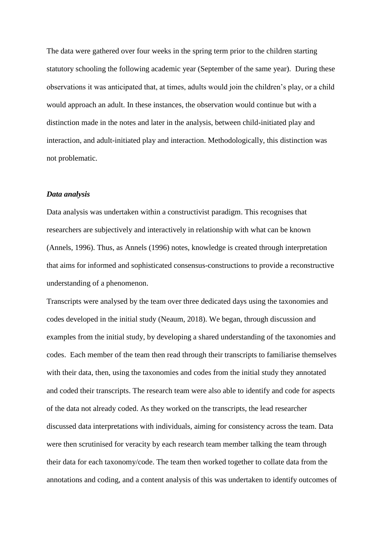The data were gathered over four weeks in the spring term prior to the children starting statutory schooling the following academic year (September of the same year). During these observations it was anticipated that, at times, adults would join the children's play, or a child would approach an adult. In these instances, the observation would continue but with a distinction made in the notes and later in the analysis, between child-initiated play and interaction, and adult-initiated play and interaction. Methodologically, this distinction was not problematic.

### *Data analysis*

Data analysis was undertaken within a constructivist paradigm. This recognises that researchers are subjectively and interactively in relationship with what can be known (Annels, 1996). Thus, as Annels (1996) notes, knowledge is created through interpretation that aims for informed and sophisticated consensus-constructions to provide a reconstructive understanding of a phenomenon.

Transcripts were analysed by the team over three dedicated days using the taxonomies and codes developed in the initial study (Neaum, 2018). We began, through discussion and examples from the initial study, by developing a shared understanding of the taxonomies and codes. Each member of the team then read through their transcripts to familiarise themselves with their data, then, using the taxonomies and codes from the initial study they annotated and coded their transcripts. The research team were also able to identify and code for aspects of the data not already coded. As they worked on the transcripts, the lead researcher discussed data interpretations with individuals, aiming for consistency across the team. Data were then scrutinised for veracity by each research team member talking the team through their data for each taxonomy/code. The team then worked together to collate data from the annotations and coding, and a content analysis of this was undertaken to identify outcomes of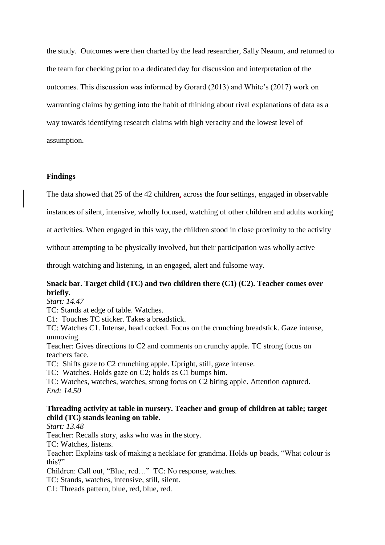warranting claims by getting into the habit of thinking about rival explanations of data as a the study. Outcomes were then charted by the lead researcher, Sally Neaum, and returned to the team for checking prior to a dedicated day for discussion and interpretation of the outcomes. This discussion was informed by Gorard (2013) and White's (2017) work on way towards identifying research claims with high veracity and the lowest level of assumption.

### **Findings**

The data showed that 25 of the 42 children, across the four settings, engaged in observable

instances of silent, intensive, wholly focused, watching of other children and adults working

at activities. When engaged in this way, the children stood in close proximity to the activity

without attempting to be physically involved, but their participation was wholly active

through watching and listening, in an engaged, alert and fulsome way.

## **Snack bar. Target child (TC) and two children there (C1) (C2). Teacher comes over briefly.**

*Start: 14.47* 

TC: Stands at edge of table. Watches.

C1: Touches TC sticker. Takes a breadstick.

TC: Watches C1. Intense, head cocked. Focus on the crunching breadstick. Gaze intense, unmoving.

Teacher: Gives directions to C2 and comments on crunchy apple. TC strong focus on teachers face.

TC: Shifts gaze to C2 crunching apple. Upright, still, gaze intense.

TC: Watches. Holds gaze on C2; holds as C1 bumps him.

TC: Watches, watches, watches, strong focus on C2 biting apple. Attention captured. *End: 14.50* 

### **Threading activity at table in nursery. Teacher and group of children at table; target child (TC) stands leaning on table.**

*Start: 13.48* 

Teacher: Recalls story, asks who was in the story.

TC: Watches, listens.

Teacher: Explains task of making a necklace for grandma. Holds up beads, "What colour is this?"

Children: Call out, "Blue, red…" TC: No response, watches.

TC: Stands, watches, intensive, still, silent.

C1: Threads pattern, blue, red, blue, red.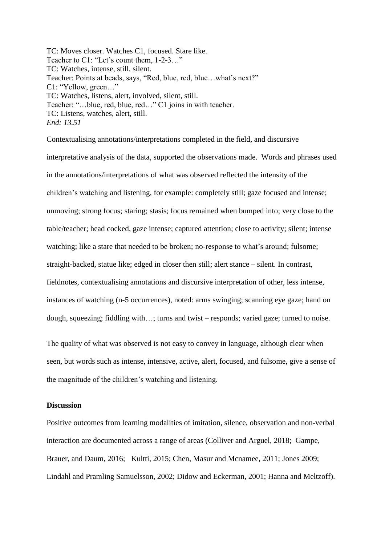TC: Moves closer. Watches C1, focused. Stare like. Teacher to C1: "Let's count them, 1-2-3..." TC: Watches, intense, still, silent. Teacher: Points at beads, says, "Red, blue, red, blue…what's next?" C1: "Yellow, green…" TC: Watches, listens, alert, involved, silent, still. Teacher: "…blue, red, blue, red…" C1 joins in with teacher. TC: Listens, watches, alert, still. *End: 13.51* 

 interpretative analysis of the data, supported the observations made. Words and phrases used Contextualising annotations/interpretations completed in the field, and discursive in the annotations/interpretations of what was observed reflected the intensity of the children's watching and listening, for example: completely still; gaze focused and intense; unmoving; strong focus; staring; stasis; focus remained when bumped into; very close to the table/teacher; head cocked, gaze intense; captured attention; close to activity; silent; intense watching; like a stare that needed to be broken; no-response to what's around; fulsome; straight-backed, statue like; edged in closer then still; alert stance – silent. In contrast, fieldnotes, contextualising annotations and discursive interpretation of other, less intense, instances of watching (n-5 occurrences), noted: arms swinging; scanning eye gaze; hand on dough, squeezing; fiddling with…; turns and twist – responds; varied gaze; turned to noise.

The quality of what was observed is not easy to convey in language, although clear when seen, but words such as intense, intensive, active, alert, focused, and fulsome, give a sense of the magnitude of the children's watching and listening.

### **Discussion**

 Brauer, and Daum, 2016; Kultti, 2015; Chen, Masur and Mcnamee, 2011; Jones 2009; Lindahl and Pramling Samuelsson, 2002; Didow and Eckerman, 2001; Hanna and Meltzoff). Positive outcomes from learning modalities of imitation, silence, observation and non-verbal interaction are documented across a range of areas (Colliver and Arguel, 2018; Gampe,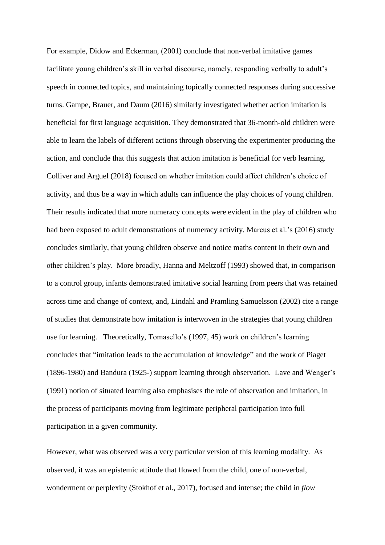activity, and thus be a way in which adults can influence the play choices of young children. across time and change of context, and, Lindahl and Pramling Samuelsson (2002) cite a range use for learning. Theoretically, Tomasello's (1997, 45) work on children's learning For example, Didow and Eckerman, (2001) conclude that non-verbal imitative games facilitate young children's skill in verbal discourse, namely, responding verbally to adult's speech in connected topics, and maintaining topically connected responses during successive turns. Gampe, Brauer, and Daum (2016) similarly investigated whether action imitation is beneficial for first language acquisition. They demonstrated that 36-month-old children were able to learn the labels of different actions through observing the experimenter producing the action, and conclude that this suggests that action imitation is beneficial for verb learning. Colliver and Arguel (2018) focused on whether imitation could affect children's choice of Their results indicated that more numeracy concepts were evident in the play of children who had been exposed to adult demonstrations of numeracy activity. Marcus et al.'s (2016) study concludes similarly, that young children observe and notice maths content in their own and other children's play. More broadly, Hanna and Meltzoff (1993) showed that, in comparison to a control group, infants demonstrated imitative social learning from peers that was retained of studies that demonstrate how imitation is interwoven in the strategies that young children concludes that "imitation leads to the accumulation of knowledge" and the work of Piaget (1896-1980) and Bandura (1925-) support learning through observation. Lave and Wenger's (1991) notion of situated learning also emphasises the role of observation and imitation, in the process of participants moving from legitimate peripheral participation into full participation in a given community.

However, what was observed was a very particular version of this learning modality. As observed, it was an epistemic attitude that flowed from the child, one of non-verbal, wonderment or perplexity (Stokhof et al., 2017), focused and intense; the child in *flow*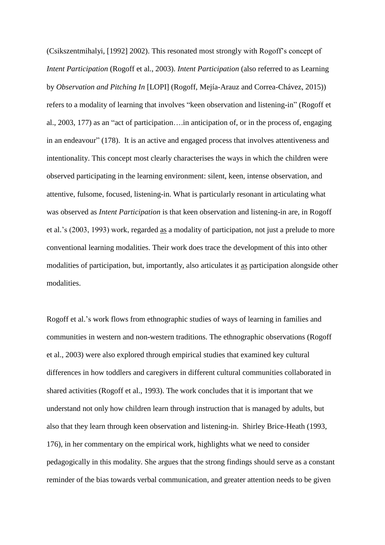modalities. (Csikszentmihalyi, [1992] 2002). This resonated most strongly with Rogoff's concept of *Intent Participation* (Rogoff et al., 2003). *Intent Participation* (also referred to as Learning by *Observation and Pitching In* [LOPI] (Rogoff, Mejía-Arauz and Correa-Chávez, 2015)) refers to a modality of learning that involves "keen observation and listening-in" (Rogoff et al., 2003, 177) as an "act of [participation….in](https://participation�.in) anticipation of, or in the process of, engaging in an endeavour" (178). It is an active and engaged process that involves attentiveness and intentionality. This concept most clearly characterises the ways in which the children were observed participating in the learning environment: silent, keen, intense observation, and attentive, fulsome, focused, listening-in. What is particularly resonant in articulating what was observed as *Intent Participation* is that keen observation and listening-in are, in Rogoff et al.'s (2003, 1993) work, regarded as a modality of participation, not just a prelude to more conventional learning modalities. Their work does trace the development of this into other modalities of participation, but, importantly, also articulates it as participation alongside other

Rogoff et al.'s work flows from ethnographic studies of ways of learning in families and communities in western and non-western traditions. The ethnographic observations (Rogoff et al., 2003) were also explored through empirical studies that examined key cultural differences in how toddlers and caregivers in different cultural communities collaborated in shared activities (Rogoff et al., 1993). The work concludes that it is important that we understand not only how children learn through instruction that is managed by adults, but also that they learn through keen observation and listening-in. Shirley Brice-Heath (1993, 176), in her commentary on the empirical work, highlights what we need to consider pedagogically in this modality. She argues that the strong findings should serve as a constant reminder of the bias towards verbal communication, and greater attention needs to be given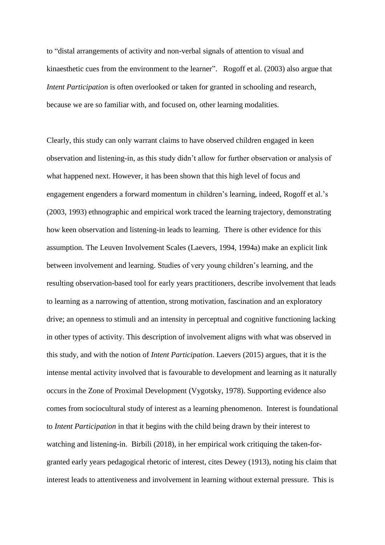kinaesthetic cues from the environment to the learner". Rogoff et al. (2003) also argue that to "distal arrangements of activity and non-verbal signals of attention to visual and *Intent Participation* is often overlooked or taken for granted in schooling and research, because we are so familiar with, and focused on, other learning modalities.

Clearly, this study can only warrant claims to have observed children engaged in keen observation and listening-in, as this study didn't allow for further observation or analysis of what happened next. However, it has been shown that this high level of focus and engagement engenders a forward momentum in children's learning, indeed, Rogoff et al.'s (2003, 1993) ethnographic and empirical work traced the learning trajectory, demonstrating how keen observation and listening-in leads to learning. There is other evidence for this assumption. The Leuven Involvement Scales (Laevers, 1994, 1994a) make an explicit link between involvement and learning. Studies of very young children's learning, and the resulting observation-based tool for early years practitioners, describe involvement that leads to learning as a narrowing of attention, strong motivation, fascination and an exploratory drive; an openness to stimuli and an intensity in perceptual and cognitive functioning lacking in other types of activity. This description of involvement aligns with what was observed in this study, and with the notion of *Intent Participation*. Laevers (2015) argues, that it is the intense mental activity involved that is favourable to development and learning as it naturally occurs in the Zone of Proximal Development (Vygotsky, 1978). Supporting evidence also comes from sociocultural study of interest as a learning phenomenon. Interest is foundational to *Intent Participation* in that it begins with the child being drawn by their interest to watching and listening-in. Birbili (2018), in her empirical work critiquing the taken-forgranted early years pedagogical rhetoric of interest, cites Dewey (1913), noting his claim that interest leads to attentiveness and involvement in learning without external pressure. This is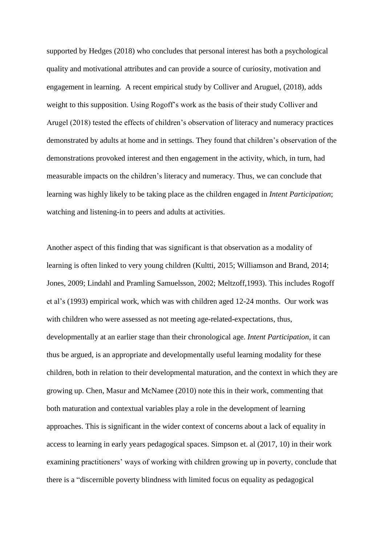engagement in learning. A recent empirical study by Colliver and Aruguel, (2018), adds supported by Hedges (2018) who concludes that personal interest has both a psychological quality and motivational attributes and can provide a source of curiosity, motivation and weight to this supposition. Using Rogoff's work as the basis of their study Colliver and Arugel (2018) tested the effects of children's observation of literacy and numeracy practices demonstrated by adults at home and in settings. They found that children's observation of the demonstrations provoked interest and then engagement in the activity, which, in turn, had measurable impacts on the children's literacy and numeracy. Thus, we can conclude that learning was highly likely to be taking place as the children engaged in *Intent Participation*; watching and listening-in to peers and adults at activities.

 thus be argued, is an appropriate and developmentally useful learning modality for these children, both in relation to their developmental maturation, and the context in which they are Another aspect of this finding that was significant is that observation as a modality of learning is often linked to very young children (Kultti, 2015; Williamson and Brand, 2014; Jones, 2009; Lindahl and Pramling Samuelsson, 2002; Meltzoff,1993). This includes Rogoff et al's (1993) empirical work, which was with children aged 12-24 months. Our work was with children who were assessed as not meeting age-related-expectations, thus, developmentally at an earlier stage than their chronological age. *Intent Participation*, it can growing up. Chen, Masur and McNamee (2010) note this in their work, commenting that both maturation and contextual variables play a role in the development of learning approaches. This is significant in the wider context of concerns about a lack of equality in access to learning in early years pedagogical spaces. Simpson et. al (2017, 10) in their work examining practitioners' ways of working with children growing up in poverty, conclude that there is a "discernible poverty blindness with limited focus on equality as pedagogical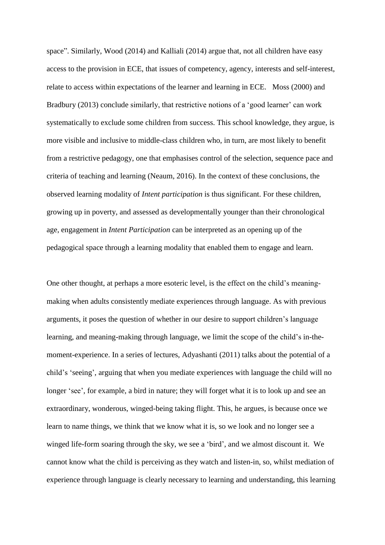space". Similarly, Wood (2014) and Kalliali (2014) argue that, not all children have easy criteria of teaching and learning (Neaum, 2016). In the context of these conclusions, the access to the provision in ECE, that issues of competency, agency, interests and self-interest, relate to access within expectations of the learner and learning in ECE. Moss (2000) and Bradbury (2013) conclude similarly, that restrictive notions of a 'good learner' can work systematically to exclude some children from success. This school knowledge, they argue, is more visible and inclusive to middle-class children who, in turn, are most likely to benefit from a restrictive pedagogy, one that emphasises control of the selection, sequence pace and observed learning modality of *Intent participation* is thus significant. For these children, growing up in poverty, and assessed as developmentally younger than their chronological age, engagement in *Intent Participation* can be interpreted as an opening up of the pedagogical space through a learning modality that enabled them to engage and learn.

One other thought, at perhaps a more esoteric level, is the effect on the child's meaningmaking when adults consistently mediate experiences through language. As with previous arguments, it poses the question of whether in our desire to support children's language learning, and meaning-making through language, we limit the scope of the child's in-themoment-experience. In a series of lectures, Adyashanti (2011) talks about the potential of a child's 'seeing', arguing that when you mediate experiences with language the child will no longer 'see', for example, a bird in nature; they will forget what it is to look up and see an extraordinary, wonderous, winged-being taking flight. This, he argues, is because once we learn to name things, we think that we know what it is, so we look and no longer see a winged life-form soaring through the sky, we see a 'bird', and we almost discount it. We cannot know what the child is perceiving as they watch and listen-in, so, whilst mediation of experience through language is clearly necessary to learning and understanding, this learning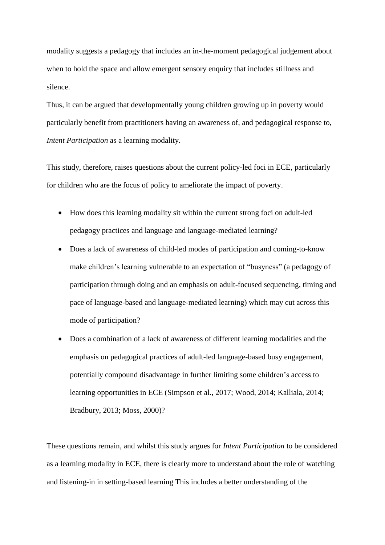modality suggests a pedagogy that includes an in-the-moment pedagogical judgement about when to hold the space and allow emergent sensory enquiry that includes stillness and silence.

Thus, it can be argued that developmentally young children growing up in poverty would particularly benefit from practitioners having an awareness of, and pedagogical response to, *Intent Participation* as a learning modality.

This study, therefore, raises questions about the current policy-led foci in ECE, particularly for children who are the focus of policy to ameliorate the impact of poverty.

- How does this learning modality sit within the current strong foci on adult-led pedagogy practices and language and language-mediated learning?
- Does a lack of awareness of child-led modes of participation and coming-to-know make children's learning vulnerable to an expectation of "busyness" (a pedagogy of participation through doing and an emphasis on adult-focused sequencing, timing and pace of language-based and language-mediated learning) which may cut across this mode of participation?
- Does a combination of a lack of awareness of different learning modalities and the emphasis on pedagogical practices of adult-led language-based busy engagement, potentially compound disadvantage in further limiting some children's access to learning opportunities in ECE (Simpson et al., 2017; Wood, 2014; Kalliala, 2014; Bradbury, 2013; Moss, 2000)?

These questions remain, and whilst this study argues for *Intent Participation* to be considered as a learning modality in ECE, there is clearly more to understand about the role of watching and listening-in in setting-based learning This includes a better understanding of the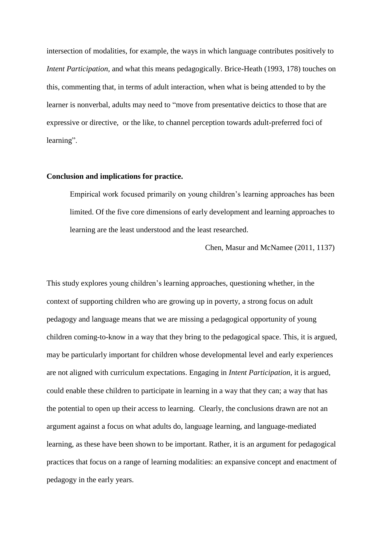intersection of modalities, for example, the ways in which language contributes positively to *Intent Participation*, and what this means pedagogically. Brice-Heath (1993, 178) touches on this, commenting that, in terms of adult interaction, when what is being attended to by the learner is nonverbal, adults may need to "move from presentative deictics to those that are expressive or directive, or the like, to channel perception towards adult-preferred foci of learning".

#### **Conclusion and implications for practice.**

 Empirical work focused primarily on young children's learning approaches has been limited. Of the five core dimensions of early development and learning approaches to learning are the least understood and the least researched.

Chen, Masur and McNamee (2011, 1137)

 the potential to open up their access to learning. Clearly, the conclusions drawn are not an This study explores young children's learning approaches, questioning whether, in the context of supporting children who are growing up in poverty, a strong focus on adult pedagogy and language means that we are missing a pedagogical opportunity of young children coming-to-know in a way that they bring to the pedagogical space. This, it is argued, may be particularly important for children whose developmental level and early experiences are not aligned with curriculum expectations. Engaging in *Intent Participation,* it is argued, could enable these children to participate in learning in a way that they can; a way that has argument against a focus on what adults do, language learning, and language-mediated learning, as these have been shown to be important. Rather, it is an argument for pedagogical practices that focus on a range of learning modalities: an expansive concept and enactment of pedagogy in the early years.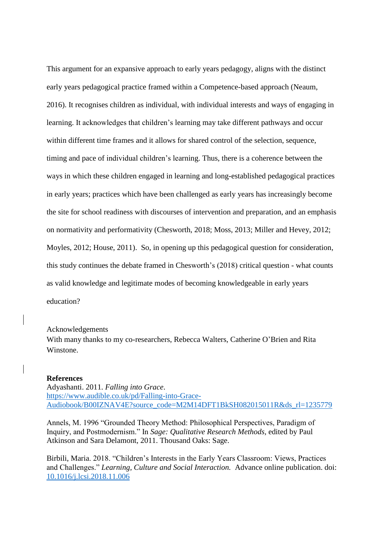This argument for an expansive approach to early years pedagogy, aligns with the distinct early years pedagogical practice framed within a Competence-based approach (Neaum, 2016). It recognises children as individual, with individual interests and ways of engaging in learning. It acknowledges that children's learning may take different pathways and occur within different time frames and it allows for shared control of the selection, sequence, timing and pace of individual children's learning. Thus, there is a coherence between the ways in which these children engaged in learning and long-established pedagogical practices in early years; practices which have been challenged as early years has increasingly become the site for school readiness with discourses of intervention and preparation, and an emphasis on normativity and performativity (Chesworth, 2018; Moss, 2013; Miller and Hevey, 2012; Moyles, 2012; House, 2011). So, in opening up this pedagogical question for consideration, this study continues the debate framed in Chesworth's (2018) critical question - what counts as valid knowledge and legitimate modes of becoming knowledgeable in early years education?

Acknowledgements

With many thanks to my co-researchers, Rebecca Walters, Catherine O'Brien and Rita Winstone.

### **References**

Adyashanti. 2011. *Falling into Grace*. [https://www.audible.co.uk/pd/Falling-into-Grace-](https://www.audible.co.uk/pd/Falling-into-Grace-Audiobook/B00IZNAV4E?source_code=M2M14DFT1BkSH082015011R&ds_rl=1235779)[Audiobook/B00IZNAV4E?source\\_code=M2M14DFT1BkSH082015011R&ds\\_rl=1235779](https://www.audible.co.uk/pd/Falling-into-Grace-Audiobook/B00IZNAV4E?source_code=M2M14DFT1BkSH082015011R&ds_rl=1235779) 

Annels, M. 1996 "Grounded Theory Method: Philosophical Perspectives, Paradigm of Inquiry, and Postmodernism." In *Sage: Qualitative Research Methods,* edited by Paul Atkinson and Sara Delamont, 2011. Thousand Oaks: Sage.

Birbili, Maria. 2018. "Children's Interests in the Early Years Classroom: Views, Practices and Challenges." *Learning, Culture and Social Interaction.* Advance online publication. doi: [10.1016/j.lcsi.2018.11.006](https://doi.org/10.1016/j.lcsi.2018.11.006)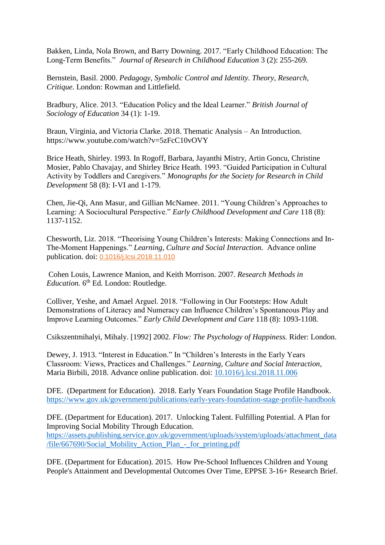Bakken, Linda, Nola Brown, and Barry Downing. 2017. "Early Childhood Education: The Long-Term Benefits." *Journal of Research in Childhood Education* 3 (2): 255-269.

Bernstein, Basil. 2000. *Pedagogy, Symbolic Control and Identity. Theory, Research, Critique.* London: Rowman and Littlefield.

Bradbury, Alice. 2013. "Education Policy and the Ideal Learner." *British Journal of Sociology of Education* 34 (1): 1-19.

https://www.youtube.com/watch?v=5zFcC10vOVY Braun, Virginia, and Victoria Clarke. 2018. Thematic Analysis – An Introduction.

Brice Heath, Shirley. 1993. In Rogoff, Barbara, Jayanthi Mistry, Artin Goncu, Christine Mosier, Pablo Chavajay, and Shirley Brice Heath. 1993. "Guided Participation in Cultural Activity by Toddlers and Caregivers." *Monographs for the Society for Research in Child Development* 58 (8): I-VI and 1-179.

Chen, Jie-Qi, Ann Masur, and Gillian McNamee. 2011. "Young Children's Approaches to Learning: A Sociocultural Perspective." *Early Childhood Development and Care* 118 (8): 1137-1152.

Chesworth, Liz. 2018. "Theorising Young Children's Interests: Making Connections and In-The-Moment Happenings." *Learning, Culture and Social Interaction.* Advance online publication. doi: [0.1016/j.lcsi.2018.11.010](https://doi.org/10.1016/j.lcsi.2018.11.010) 

Cohen Louis, Lawrence Manion, and Keith Morrison. 2007. *Research Methods in Education.* 6<sup>th</sup> Ed. London: Routledge.

Colliver, Yeshe, and Amael Arguel. 2018. "Following in Our Footsteps: How Adult Demonstrations of Literacy and Numeracy can Influence Children's Spontaneous Play and Improve Learning Outcomes." *Early Child Development and Care* 118 (8): 1093-1108*.* 

Csikszentmihalyi, Mihaly. [1992] 2002. *Flow: The Psychology of Happiness.* Rider: London.

Dewey, J. 1913. "Interest in Education." In "Children's Interests in the Early Years Classroom: Views, Practices and Challenges." *Learning, Culture and Social Interaction,*  Maria Birbili, 2018. Advance online publication. doi: [10.1016/j.lcsi.2018.11.006](https://doi.org/10.1016/j.lcsi.2018.11.006) 

DFE. (Department for Education). 2018. Early Years Foundation Stage Profile Handbook. <https://www.gov.uk/government/publications/early-years-foundation-stage-profile-handbook>

DFE. (Department for Education). 2017. Unlocking Talent. Fulfilling Potential. A Plan for Improving Social Mobility Through Education. [https://assets.publishing.service.gov.uk/government/uploads/system/uploads/attachment\\_data](https://assets.publishing.service.gov.uk/government/uploads/system/uploads/attachment_data/file/667690/Social_Mobility_Action_Plan_-_for_printing.pdf)  [/file/667690/Social\\_Mobility\\_Action\\_Plan\\_-\\_for\\_printing.pdf](https://assets.publishing.service.gov.uk/government/uploads/system/uploads/attachment_data/file/667690/Social_Mobility_Action_Plan_-_for_printing.pdf) 

DFE. (Department for Education). 2015. How Pre-School Influences Children and Young People's Attainment and Developmental Outcomes Over Time, EPPSE 3-16+ Research Brief.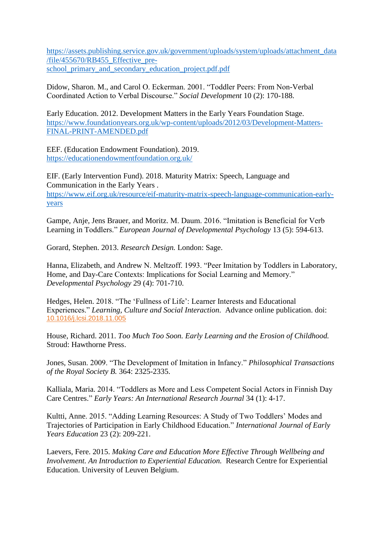[https://assets.publishing.service.gov.uk/government/uploads/system/uploads/attachment\\_data](https://assets.publishing.service.gov.uk/government/uploads/system/uploads/attachment_data/file/455670/RB455_Effective_pre-school_primary_and_secondary_education_project.pdf.pdf)  [/file/455670/RB455\\_Effective\\_pre](https://assets.publishing.service.gov.uk/government/uploads/system/uploads/attachment_data/file/455670/RB455_Effective_pre-school_primary_and_secondary_education_project.pdf.pdf)school primary and secondary education project.pdf.pdf

Didow, Sharon. M., and Carol O. Eckerman. 2001. "Toddler Peers: From Non-Verbal Coordinated Action to Verbal Discourse." *Social Development* 10 (2): 170-188.

Early Education. 2012. Development Matters in the Early Years Foundation Stage. [https://www.foundationyears.org.uk/wp-content/uploads/2012/03/Development-Matters-](https://www.foundationyears.org.uk/wp-content/uploads/2012/03/Development-Matters-FINAL-PRINT-AMENDED.pdf)[FINAL-PRINT-AMENDED.pdf](https://www.foundationyears.org.uk/wp-content/uploads/2012/03/Development-Matters-FINAL-PRINT-AMENDED.pdf) 

EEF. (Education Endowment Foundation). 2019. <https://educationendowmentfoundation.org.uk/>

EIF. (Early Intervention Fund). 2018. Maturity Matrix: Speech, Language and Communication in the Early Years . [https://www.eif.org.uk/resource/eif-maturity-matrix-speech-language-communication-early](https://www.eif.org.uk/resource/eif-maturity-matrix-speech-language-communication-early-years)[years](https://www.eif.org.uk/resource/eif-maturity-matrix-speech-language-communication-early-years) 

Gampe, Anje, Jens Brauer, and Moritz. M. Daum. 2016. "Imitation is Beneficial for Verb Learning in Toddlers." *European Journal of Developmental Psychology* 13 (5): 594-613.

Gorard, Stephen. 2013. *Research Design.* London: Sage.

Hanna, Elizabeth, and Andrew N. Meltzoff. 1993. "Peer Imitation by Toddlers in Laboratory, Home, and Day-Care Contexts: Implications for Social Learning and Memory." *Developmental Psychology* 29 (4): 701-710.

Hedges, Helen. 2018. "The 'Fullness of Life': Learner Interests and Educational Experiences." *Learning, Culture and Social Interaction.* Advance online publication. doi: [10.1016/j.lcsi.2018.11.005](https://doi.org/10.1016/j.lcsi.2018.11.005) 

House, Richard. 2011. *Too Much Too Soon. Early Learning and the Erosion of Childhood.*  Stroud: Hawthorne Press.

Jones, Susan. 2009. "The Development of Imitation in Infancy." *Philosophical Transactions of the Royal Society B.* 364: 2325-2335.

Kalliala, Maria. 2014. "Toddlers as More and Less Competent Social Actors in Finnish Day Care Centres." *Early Years: An International Research Journal* 34 (1): 4-17.

Kultti, Anne. 2015. "Adding Learning Resources: A Study of Two Toddlers' Modes and Trajectories of Participation in Early Childhood Education." *International Journal of Early Years Education* 23 (2): 209-221.

 *Involvement. An Introduction to Experiential Education.* Research Centre for Experiential Laevers, Fere. 2015. *Making Care and Education More Effective Through Wellbeing and*  Education. University of Leuven Belgium.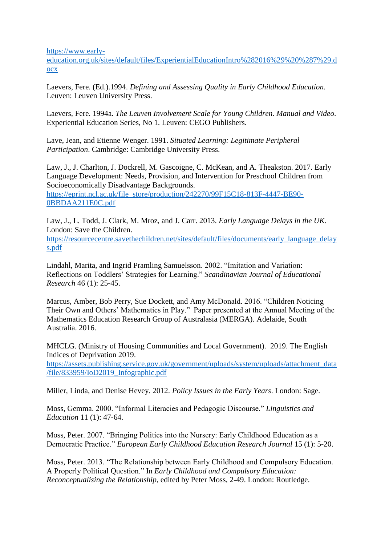[https://www.early-](https://www.early-education.org.uk/sites/default/files/ExperientialEducationIntro%282016%29%20%287%29.docx)

[education.org.uk/sites/default/files/ExperientialEducationIntro%282016%29%20%287%29.d](https://www.early-education.org.uk/sites/default/files/ExperientialEducationIntro%282016%29%20%287%29.docx)  [ocx](https://www.early-education.org.uk/sites/default/files/ExperientialEducationIntro%282016%29%20%287%29.docx) 

Laevers, Fere. (Ed.).1994. *Defining and Assessing Quality in Early Childhood Education*. Leuven: Leuven University Press.

Laevers, Fere. 1994a. *The Leuven Involvement Scale for Young Children. Manual and Video*. Experiential Education Series, No 1. Leuven: CEGO Publishers.

Lave, Jean, and Etienne Wenger. 1991. *Situated Learning: Legitimate Peripheral Participation*. Cambridge: Cambridge University Press.

Law, J., J. Charlton, J. Dockrell, M. Gascoigne, C. McKean, and A. Theakston. 2017. Early Language Development: Needs, Provision, and Intervention for Preschool Children from Socioeconomically Disadvantage Backgrounds. [https://eprint.ncl.ac.uk/file\\_store/production/242270/99F15C18-813F-4447-BE90-](https://eprint.ncl.ac.uk/file_store/production/242270/99F15C18-813F-4447-BE90-0BBDAA211E0C.pdf) [0BBDAA211E0C.pdf](https://eprint.ncl.ac.uk/file_store/production/242270/99F15C18-813F-4447-BE90-0BBDAA211E0C.pdf) 

Law, J., L. Todd, J. Clark, M. Mroz, and J. Carr. 2013. *Early Language Delays in the UK.*  London: Save the Children. [https://resourcecentre.savethechildren.net/sites/default/files/documents/early\\_language\\_delay](https://resourcecentre.savethechildren.net/sites/default/files/documents/early_language_delays.pdf)  [s.pdf](https://resourcecentre.savethechildren.net/sites/default/files/documents/early_language_delays.pdf) 

 Reflections on Toddlers' Strategies for Learning." *Scandinavian Journal of Educational*  Lindahl, Marita, and Ingrid Pramling Samuelsson. 2002. "Imitation and Variation: *Research* 46 (1): 25-45.

Marcus, Amber, Bob Perry, Sue Dockett, and Amy McDonald. 2016. "Children Noticing Their Own and Others' Mathematics in Play." Paper presented at the Annual Meeting of the Mathematics Education Research Group of Australasia (MERGA). Adelaide, South Australia. 2016.

MHCLG. (Ministry of Housing Communities and Local Government). 2019. The English Indices of Deprivation 2019.

[https://assets.publishing.service.gov.uk/government/uploads/system/uploads/attachment\\_data](https://assets.publishing.service.gov.uk/government/uploads/system/uploads/attachment_data/file/833959/IoD2019_Infographic.pdf)  [/file/833959/IoD2019\\_Infographic.pdf](https://assets.publishing.service.gov.uk/government/uploads/system/uploads/attachment_data/file/833959/IoD2019_Infographic.pdf) 

Miller, Linda, and Denise Hevey. 2012. *Policy Issues in the Early Years*. London: Sage.

Moss, Gemma. 2000. "Informal Literacies and Pedagogic Discourse." *Linguistics and Education* 11 (1): 47-64.

Moss, Peter. 2007. "Bringing Politics into the Nursery: Early Childhood Education as a Democratic Practice." *European Early Childhood Education Research Journal* 15 (1): 5-20.

Moss, Peter. 2013. "The Relationship between Early Childhood and Compulsory Education. A Properly Political Question." In *Early Childhood and Compulsory Education: Reconceptualising the Relationship*, edited by Peter Moss, 2-49. London: Routledge.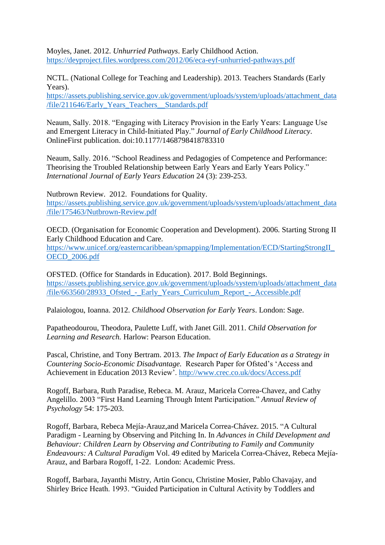Moyles, Janet. 2012. *Unhurried Pathways*. Early Childhood Action. <https://deyproject.files.wordpress.com/2012/06/eca-eyf-unhurried-pathways.pdf>

NCTL. (National College for Teaching and Leadership). 2013. Teachers Standards (Early Years).

[https://assets.publishing.service.gov.uk/government/uploads/system/uploads/attachment\\_data](https://assets.publishing.service.gov.uk/government/uploads/system/uploads/attachment_data/file/211646/Early_Years_Teachers__Standards.pdf)  [/file/211646/Early\\_Years\\_Teachers\\_\\_Standards.pdf](https://assets.publishing.service.gov.uk/government/uploads/system/uploads/attachment_data/file/211646/Early_Years_Teachers__Standards.pdf) 

Neaum, Sally. 2018. "Engaging with Literacy Provision in the Early Years: Language Use and Emergent Literacy in Child-Initiated Play." *Journal of Early Childhood Literacy*. OnlineFirst publication. doi:10.1177/1468798418783310

Neaum, Sally. 2016. "School Readiness and Pedagogies of Competence and Performance: Theorising the Troubled Relationship between Early Years and Early Years Policy." *International Journal of Early Years Education* 24 (3): 239-253.

Nutbrown Review. 2012. Foundations for Quality. [https://assets.publishing.service.gov.uk/government/uploads/system/uploads/attachment\\_data](https://assets.publishing.service.gov.uk/government/uploads/system/uploads/attachment_data/file/175463/Nutbrown-Review.pdf)  [/file/175463/Nutbrown-Review.pdf](https://assets.publishing.service.gov.uk/government/uploads/system/uploads/attachment_data/file/175463/Nutbrown-Review.pdf) 

 OECD. (Organisation for Economic Cooperation and Development). 2006. Starting Strong II Early Childhood Education and Care. [https://www.unicef.org/easterncaribbean/spmapping/Implementation/ECD/StartingStrongII\\_](https://www.unicef.org/easterncaribbean/spmapping/Implementation/ECD/StartingStrongII_OECD_2006.pdf)  [OECD\\_2006.pdf](https://www.unicef.org/easterncaribbean/spmapping/Implementation/ECD/StartingStrongII_OECD_2006.pdf) 

OFSTED. (Office for Standards in Education). 2017. Bold Beginnings. [https://assets.publishing.service.gov.uk/government/uploads/system/uploads/attachment\\_data](https://assets.publishing.service.gov.uk/government/uploads/system/uploads/attachment_data/file/663560/28933_Ofsted_-_Early_Years_Curriculum_Report_-_Accessible.pdf)  [/file/663560/28933\\_Ofsted\\_-\\_Early\\_Years\\_Curriculum\\_Report\\_-\\_Accessible.pdf](https://assets.publishing.service.gov.uk/government/uploads/system/uploads/attachment_data/file/663560/28933_Ofsted_-_Early_Years_Curriculum_Report_-_Accessible.pdf) 

Palaiologou, Ioanna. 2012. *Childhood Observation for Early Years*. London: Sage.

Papatheodourou, Theodora, Paulette Luff, with Janet Gill. 2011. *Child Observation for Learning and Research.* Harlow: Pearson Education.

 *Countering Socio-Economic Disadvantage.* Research Paper for Ofsted's 'Access and Pascal, Christine, and Tony Bertram. 2013. *The Impact of Early Education as a Strategy in*  Achievement in Education 2013 Review'.<http://www.crec.co.uk/docs/Access.pdf>

Rogoff, Barbara, Ruth Paradise, Rebeca. M. Arauz, Maricela Correa-Chavez, and Cathy Angelillo. 2003 "First Hand Learning Through Intent Participation." *Annual Review of Psychology* 54: 175-203.

Rogoff, Barbara, Rebeca Mejía-Arauz,and Maricela Correa-Chávez. 2015. "A Cultural Paradigm - Learning by Observing and Pitching In. In *Advances in Child Development and Behaviour: Children Learn by Observing and Contributing to Family and Community Endeavours: A Cultural Paradigm* Vol. 49 edited by Maricela Correa-Chávez, Rebeca Mejía-Arauz, and Barbara Rogoff, 1-22. London: Academic Press.

Rogoff, Barbara, Jayanthi Mistry, Artin Goncu, Christine Mosier, Pablo Chavajay, and Shirley Brice Heath. 1993. "Guided Participation in Cultural Activity by Toddlers and